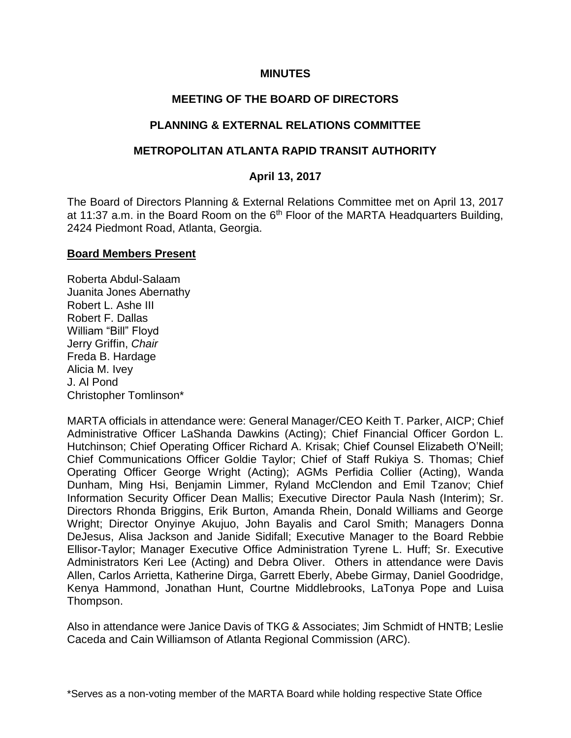#### **MINUTES**

### **MEETING OF THE BOARD OF DIRECTORS**

#### **PLANNING & EXTERNAL RELATIONS COMMITTEE**

#### **METROPOLITAN ATLANTA RAPID TRANSIT AUTHORITY**

#### **April 13, 2017**

The Board of Directors Planning & External Relations Committee met on April 13, 2017 at 11:37 a.m. in the Board Room on the  $6<sup>th</sup>$  Floor of the MARTA Headquarters Building, 2424 Piedmont Road, Atlanta, Georgia.

#### **Board Members Present**

Roberta Abdul-Salaam Juanita Jones Abernathy Robert L. Ashe III Robert F. Dallas William "Bill" Floyd Jerry Griffin, *Chair* Freda B. Hardage Alicia M. Ivey J. Al Pond Christopher Tomlinson\*

MARTA officials in attendance were: General Manager/CEO Keith T. Parker, AICP; Chief Administrative Officer LaShanda Dawkins (Acting); Chief Financial Officer Gordon L. Hutchinson; Chief Operating Officer Richard A. Krisak; Chief Counsel Elizabeth O'Neill; Chief Communications Officer Goldie Taylor; Chief of Staff Rukiya S. Thomas; Chief Operating Officer George Wright (Acting); AGMs Perfidia Collier (Acting), Wanda Dunham, Ming Hsi, Benjamin Limmer, Ryland McClendon and Emil Tzanov; Chief Information Security Officer Dean Mallis; Executive Director Paula Nash (Interim); Sr. Directors Rhonda Briggins, Erik Burton, Amanda Rhein, Donald Williams and George Wright; Director Onyinye Akujuo, John Bayalis and Carol Smith; Managers Donna DeJesus, Alisa Jackson and Janide Sidifall; Executive Manager to the Board Rebbie Ellisor-Taylor; Manager Executive Office Administration Tyrene L. Huff; Sr. Executive Administrators Keri Lee (Acting) and Debra Oliver. Others in attendance were Davis Allen, Carlos Arrietta, Katherine Dirga, Garrett Eberly, Abebe Girmay, Daniel Goodridge, Kenya Hammond, Jonathan Hunt, Courtne Middlebrooks, LaTonya Pope and Luisa Thompson.

Also in attendance were Janice Davis of TKG & Associates; Jim Schmidt of HNTB; Leslie Caceda and Cain Williamson of Atlanta Regional Commission (ARC).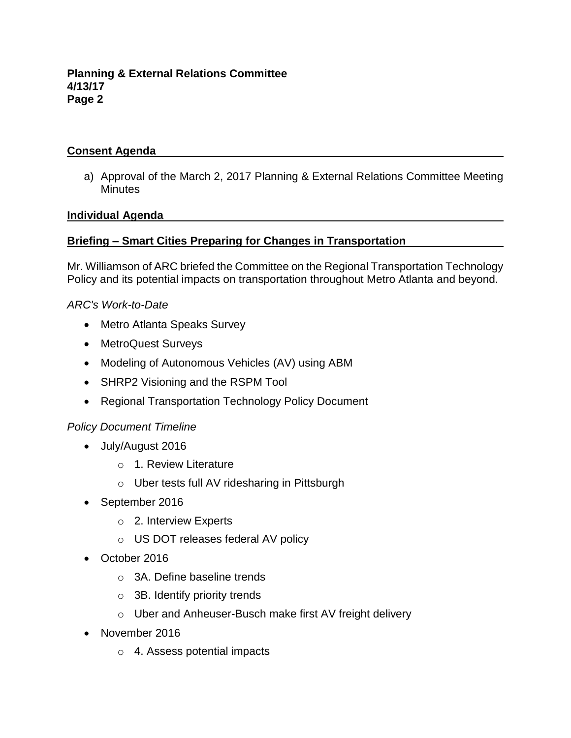### **Consent Agenda**

a) Approval of the March 2, 2017 Planning & External Relations Committee Meeting **Minutes** 

#### **Individual Agenda**

### **Briefing – Smart Cities Preparing for Changes in Transportation**

Mr. Williamson of ARC briefed the Committee on the Regional Transportation Technology Policy and its potential impacts on transportation throughout Metro Atlanta and beyond.

#### *ARC's Work-to-Date*

- Metro Atlanta Speaks Survey
- MetroQuest Surveys
- Modeling of Autonomous Vehicles (AV) using ABM
- SHRP2 Visioning and the RSPM Tool
- Regional Transportation Technology Policy Document

### *Policy Document Timeline*

- July/August 2016
	- o 1. Review Literature
	- o Uber tests full AV ridesharing in Pittsburgh
- September 2016
	- o 2. Interview Experts
	- o US DOT releases federal AV policy
- October 2016
	- o 3A. Define baseline trends
	- $\circ$  3B. Identify priority trends
	- o Uber and Anheuser-Busch make first AV freight delivery
- November 2016
	- o 4. Assess potential impacts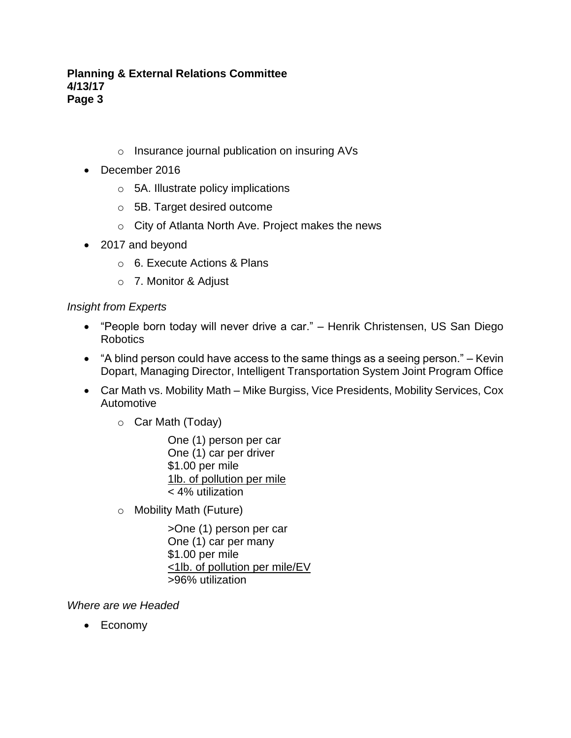- o Insurance journal publication on insuring AVs
- December 2016
	- o 5A. Illustrate policy implications
	- o 5B. Target desired outcome
	- o City of Atlanta North Ave. Project makes the news
- 2017 and beyond
	- o 6. Execute Actions & Plans
	- o 7. Monitor & Adjust

# *Insight from Experts*

- "People born today will never drive a car." Henrik Christensen, US San Diego Robotics
- "A blind person could have access to the same things as a seeing person." Kevin Dopart, Managing Director, Intelligent Transportation System Joint Program Office
- Car Math vs. Mobility Math Mike Burgiss, Vice Presidents, Mobility Services, Cox Automotive
	- o Car Math (Today)

One (1) person per car One (1) car per driver \$1.00 per mile 1lb. of pollution per mile < 4% utilization

o Mobility Math (Future)

>One (1) person per car One (1) car per many \$1.00 per mile <1lb. of pollution per mile/EV >96% utilization

*Where are we Headed*

• Economy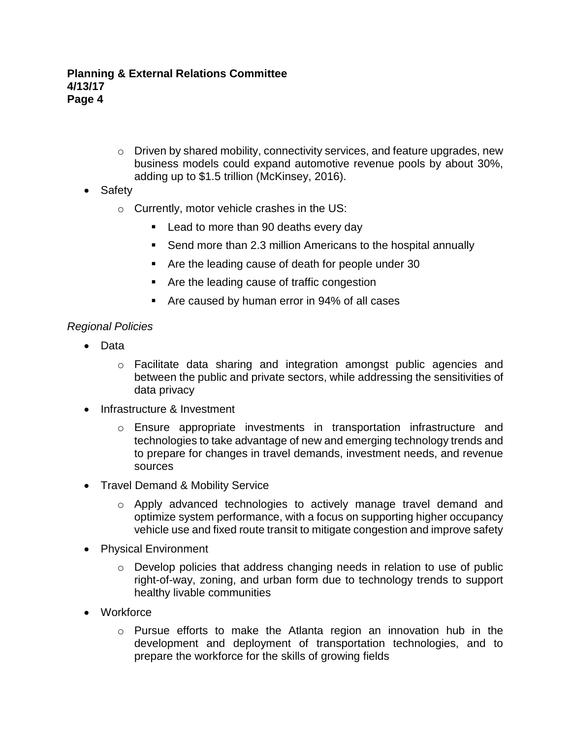- o Driven by shared mobility, connectivity services, and feature upgrades, new business models could expand automotive revenue pools by about 30%, adding up to \$1.5 trillion (McKinsey, 2016).
- Safety
	- o Currently, motor vehicle crashes in the US:
		- Lead to more than 90 deaths every day
		- Send more than 2.3 million Americans to the hospital annually
		- Are the leading cause of death for people under 30
		- Are the leading cause of traffic congestion
		- Are caused by human error in 94% of all cases

### *Regional Policies*

- Data
	- o Facilitate data sharing and integration amongst public agencies and between the public and private sectors, while addressing the sensitivities of data privacy
- Infrastructure & Investment
	- o Ensure appropriate investments in transportation infrastructure and technologies to take advantage of new and emerging technology trends and to prepare for changes in travel demands, investment needs, and revenue sources
- Travel Demand & Mobility Service
	- $\circ$  Apply advanced technologies to actively manage travel demand and optimize system performance, with a focus on supporting higher occupancy vehicle use and fixed route transit to mitigate congestion and improve safety
- Physical Environment
	- $\circ$  Develop policies that address changing needs in relation to use of public right-of-way, zoning, and urban form due to technology trends to support healthy livable communities
- Workforce
	- o Pursue efforts to make the Atlanta region an innovation hub in the development and deployment of transportation technologies, and to prepare the workforce for the skills of growing fields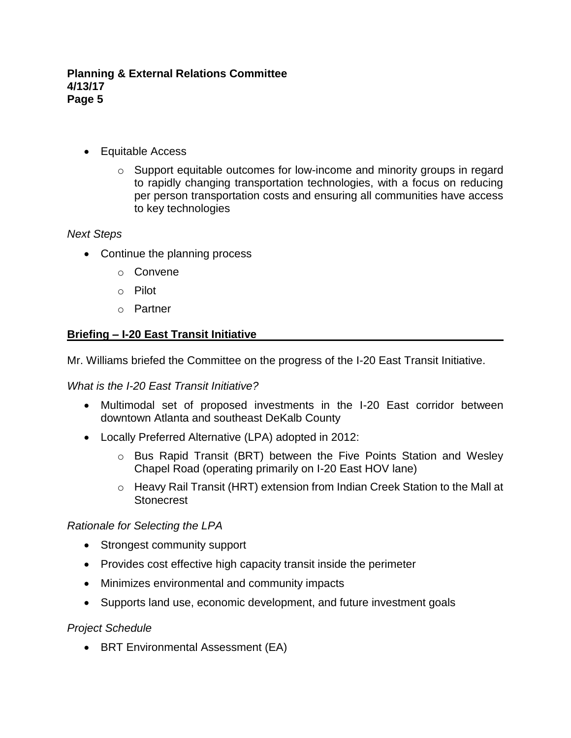- Equitable Access
	- $\circ$  Support equitable outcomes for low-income and minority groups in regard to rapidly changing transportation technologies, with a focus on reducing per person transportation costs and ensuring all communities have access to key technologies

### *Next Steps*

- Continue the planning process
	- o Convene
	- o Pilot
	- o Partner

# **Briefing – I-20 East Transit Initiative**

Mr. Williams briefed the Committee on the progress of the I-20 East Transit Initiative.

### *What is the I-20 East Transit Initiative?*

- Multimodal set of proposed investments in the I-20 East corridor between downtown Atlanta and southeast DeKalb County
- Locally Preferred Alternative (LPA) adopted in 2012:
	- o Bus Rapid Transit (BRT) between the Five Points Station and Wesley Chapel Road (operating primarily on I-20 East HOV lane)
	- o Heavy Rail Transit (HRT) extension from Indian Creek Station to the Mall at **Stonecrest**

### *Rationale for Selecting the LPA*

- Strongest community support
- Provides cost effective high capacity transit inside the perimeter
- Minimizes environmental and community impacts
- Supports land use, economic development, and future investment goals

*Project Schedule*

• BRT Environmental Assessment (EA)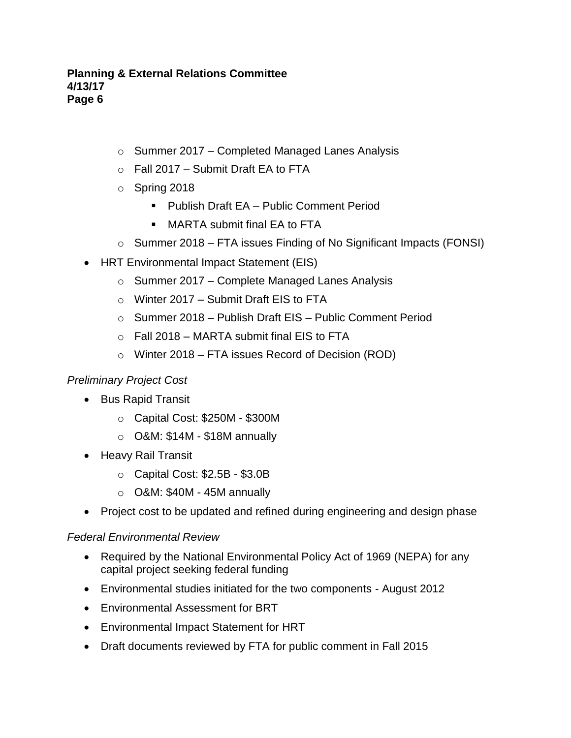- o Summer 2017 Completed Managed Lanes Analysis
- $\circ$  Fall 2017 Submit Draft EA to FTA
- o Spring 2018
	- Publish Draft EA Public Comment Period
	- MARTA submit final EA to FTA
- $\circ$  Summer 2018 FTA issues Finding of No Significant Impacts (FONSI)
- HRT Environmental Impact Statement (EIS)
	- $\circ$  Summer 2017 Complete Managed Lanes Analysis
	- o Winter 2017 Submit Draft EIS to FTA
	- o Summer 2018 Publish Draft EIS Public Comment Period
	- $\circ$  Fall 2018 MARTA submit final EIS to FTA
	- $\circ$  Winter 2018 FTA issues Record of Decision (ROD)

# *Preliminary Project Cost*

- Bus Rapid Transit
	- o Capital Cost: \$250M \$300M
	- o O&M: \$14M \$18M annually
- Heavy Rail Transit
	- o Capital Cost: \$2.5B \$3.0B
	- $\circ$  O&M: \$40M 45M annually
- Project cost to be updated and refined during engineering and design phase

# *Federal Environmental Review*

- Required by the National Environmental Policy Act of 1969 (NEPA) for any capital project seeking federal funding
- Environmental studies initiated for the two components August 2012
- Environmental Assessment for BRT
- Environmental Impact Statement for HRT
- Draft documents reviewed by FTA for public comment in Fall 2015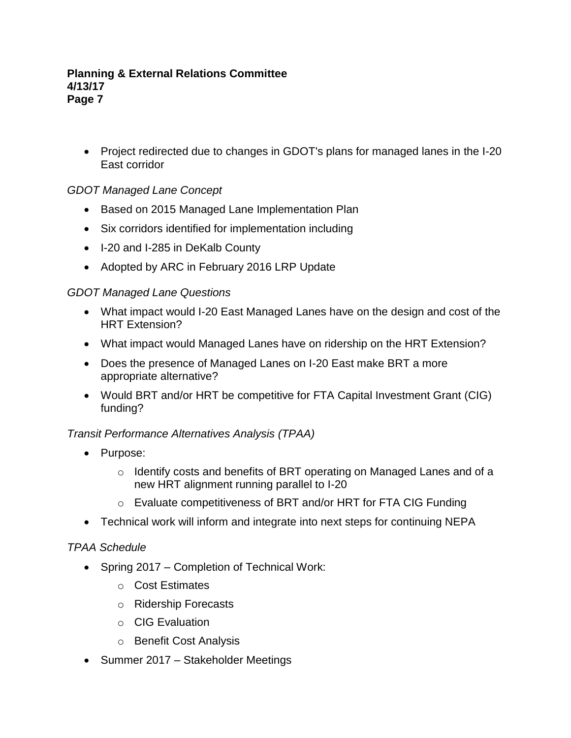• Project redirected due to changes in GDOT's plans for managed lanes in the I-20 East corridor

# *GDOT Managed Lane Concept*

- Based on 2015 Managed Lane Implementation Plan
- Six corridors identified for implementation including
- I-20 and I-285 in DeKalb County
- Adopted by ARC in February 2016 LRP Update

### *GDOT Managed Lane Questions*

- What impact would I-20 East Managed Lanes have on the design and cost of the HRT Extension?
- What impact would Managed Lanes have on ridership on the HRT Extension?
- Does the presence of Managed Lanes on I-20 East make BRT a more appropriate alternative?
- Would BRT and/or HRT be competitive for FTA Capital Investment Grant (CIG) funding?

# *Transit Performance Alternatives Analysis (TPAA)*

- Purpose:
	- o Identify costs and benefits of BRT operating on Managed Lanes and of a new HRT alignment running parallel to I-20
	- o Evaluate competitiveness of BRT and/or HRT for FTA CIG Funding
- Technical work will inform and integrate into next steps for continuing NEPA

### *TPAA Schedule*

- Spring 2017 Completion of Technical Work:
	- o Cost Estimates
	- o Ridership Forecasts
	- o CIG Evaluation
	- o Benefit Cost Analysis
- Summer 2017 Stakeholder Meetings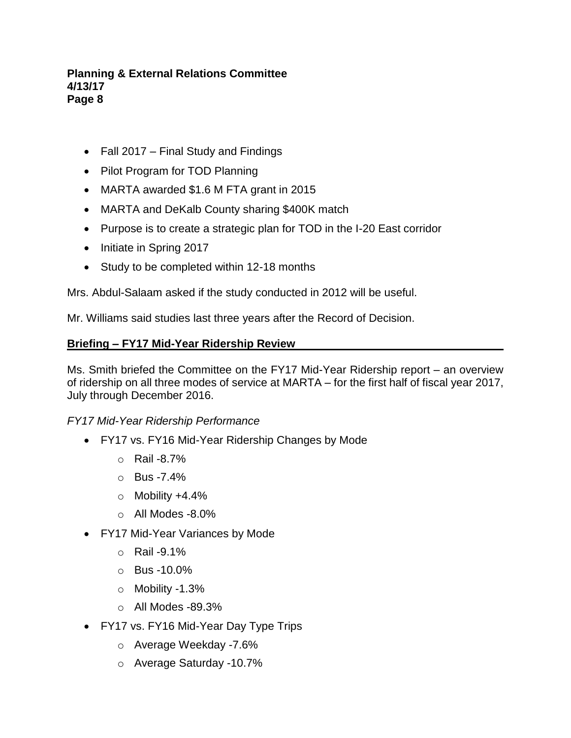- Fall 2017 Final Study and Findings
- Pilot Program for TOD Planning
- MARTA awarded \$1.6 M FTA grant in 2015
- MARTA and DeKalb County sharing \$400K match
- Purpose is to create a strategic plan for TOD in the I-20 East corridor
- Initiate in Spring 2017
- Study to be completed within 12-18 months

Mrs. Abdul-Salaam asked if the study conducted in 2012 will be useful.

Mr. Williams said studies last three years after the Record of Decision.

#### **Briefing – FY17 Mid-Year Ridership Review**

Ms. Smith briefed the Committee on the FY17 Mid-Year Ridership report – an overview of ridership on all three modes of service at MARTA – for the first half of fiscal year 2017, July through December 2016.

### *FY17 Mid-Year Ridership Performance*

- FY17 vs. FY16 Mid-Year Ridership Changes by Mode
	- o Rail -8.7%
	- $O$  Bus -7.4%
	- $\circ$  Mobility +4.4%
	- $\circ$  All Modes -8.0%
- FY17 Mid-Year Variances by Mode
	- $\circ$  Rail -9.1%
	- o Bus -10.0%
	- o Mobility -1.3%
	- $\circ$  All Modes -89.3%
- FY17 vs. FY16 Mid-Year Day Type Trips
	- o Average Weekday -7.6%
	- o Average Saturday -10.7%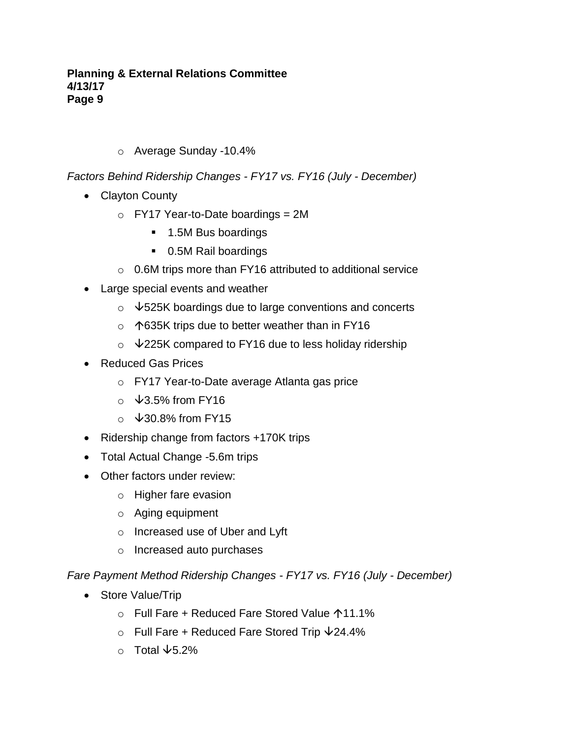o Average Sunday -10.4%

*Factors Behind Ridership Changes - FY17 vs. FY16 (July - December)*

- Clayton County
	- $\circ$  FY17 Year-to-Date boardings = 2M
		- 1.5M Bus boardings
		- 0.5M Rail boardings
	- o 0.6M trips more than FY16 attributed to additional service
- Large special events and weather
	- $\circ$   $\sqrt{525}$ K boardings due to large conventions and concerts
	- $\circ$  1635K trips due to better weather than in FY16
	- $\circ$   $\sqrt{225}$ K compared to FY16 due to less holiday ridership
- Reduced Gas Prices
	- o FY17 Year-to-Date average Atlanta gas price
	- $\circ$   $\sqrt{3.5\%}$  from FY16
	- $\circ$   $\sqrt{30.8\%}$  from FY15
- Ridership change from factors +170K trips
- Total Actual Change -5.6m trips
- Other factors under review:
	- o Higher fare evasion
	- o Aging equipment
	- o Increased use of Uber and Lyft
	- o Increased auto purchases

*Fare Payment Method Ridership Changes - FY17 vs. FY16 (July - December)*

- Store Value/Trip
	- o Full Fare + Reduced Fare Stored Value 11.1%
	- $\circ$  Full Fare + Reduced Fare Stored Trip  $\sqrt{24.4\%}$
	- $\circ$  Total  $\sqrt{5.2\%}$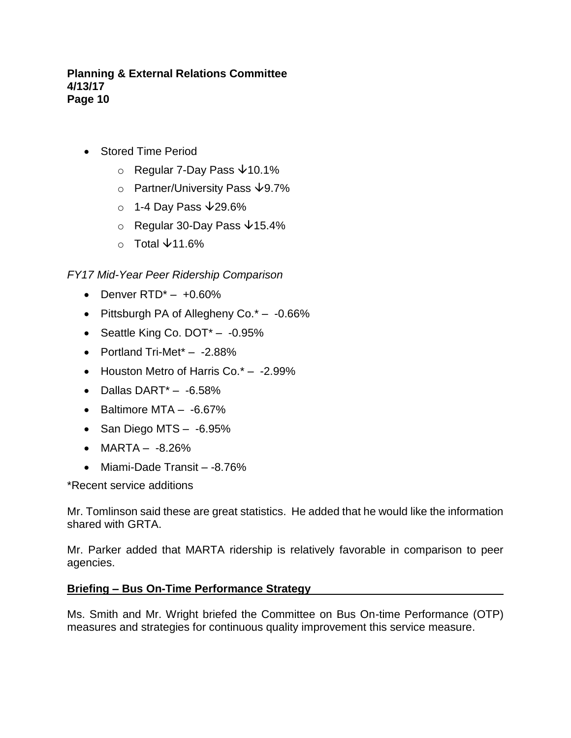- Stored Time Period
	- $\circ$  Regular 7-Day Pass  $\sqrt{10.1\%}$
	- o Partner/University Pass  $\sqrt{9.7\%}$
	- $\circ$  1-4 Day Pass  $\sqrt{29.6\%}$
	- $\circ$  Regular 30-Day Pass  $\sqrt{15.4\%}$
	- $\circ$  Total  $\sqrt{11.6\%}$

### *FY17 Mid-Year Peer Ridership Comparison*

- Denver  $RTD^*$   $+0.60\%$
- Pittsburgh PA of Allegheny Co.\* -0.66%
- Seattle King Co. DOT<sup>\*</sup> -0.95%
- Portland Tri-Met\* -2.88%
- Houston Metro of Harris Co.\* -2.99%
- $\bullet$  Dallas DART $^*$  -6.58%
- Baltimore MTA -6.67%
- San Diego MTS -6.95%
- $MARTA -8.26%$
- Miami-Dade Transit -8.76%

\*Recent service additions

Mr. Tomlinson said these are great statistics. He added that he would like the information shared with GRTA.

Mr. Parker added that MARTA ridership is relatively favorable in comparison to peer agencies.

#### **Briefing – Bus On-Time Performance Strategy**

Ms. Smith and Mr. Wright briefed the Committee on Bus On-time Performance (OTP) measures and strategies for continuous quality improvement this service measure.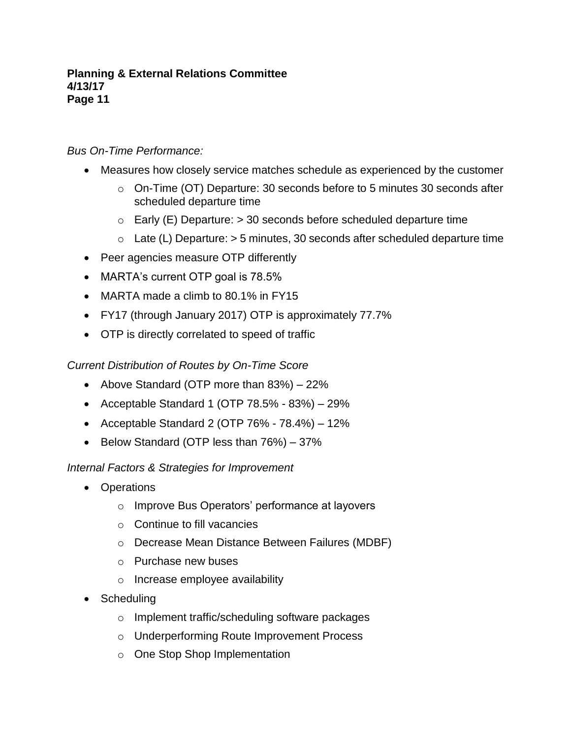### *Bus On-Time Performance:*

- Measures how closely service matches schedule as experienced by the customer
	- o On-Time (OT) Departure: 30 seconds before to 5 minutes 30 seconds after scheduled departure time
	- $\circ$  Early (E) Departure:  $>$  30 seconds before scheduled departure time
	- $\circ$  Late (L) Departure:  $>$  5 minutes, 30 seconds after scheduled departure time
- Peer agencies measure OTP differently
- MARTA's current OTP goal is 78.5%
- MARTA made a climb to 80.1% in FY15
- FY17 (through January 2017) OTP is approximately 77.7%
- OTP is directly correlated to speed of traffic

### *Current Distribution of Routes by On-Time Score*

- Above Standard (OTP more than 83%) 22%
- Acceptable Standard 1 (OTP  $78.5\%$   $83\%)$   $29\%$
- Acceptable Standard 2 (OTP  $76\%$   $78.4\%$ )  $12\%$
- Below Standard (OTP less than 76%) 37%

### *Internal Factors & Strategies for Improvement*

- Operations
	- o Improve Bus Operators' performance at layovers
	- $\circ$  Continue to fill vacancies
	- o Decrease Mean Distance Between Failures (MDBF)
	- o Purchase new buses
	- o Increase employee availability
- Scheduling
	- o Implement traffic/scheduling software packages
	- o Underperforming Route Improvement Process
	- o One Stop Shop Implementation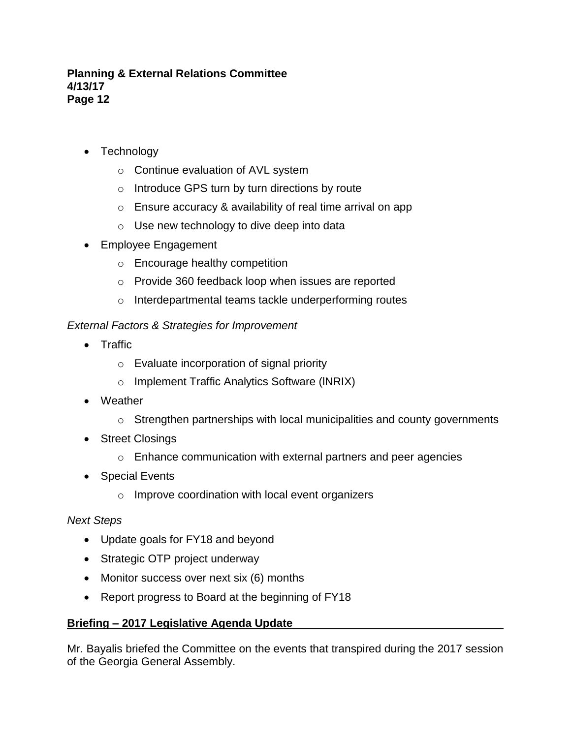- Technology
	- o Continue evaluation of AVL system
	- o Introduce GPS turn by turn directions by route
	- $\circ$  Ensure accuracy & availability of real time arrival on app
	- o Use new technology to dive deep into data
- Employee Engagement
	- o Encourage healthy competition
	- o Provide 360 feedback loop when issues are reported
	- o Interdepartmental teams tackle underperforming routes

# *External Factors & Strategies for Improvement*

- Traffic
	- o Evaluate incorporation of signal priority
	- o Implement Traffic Analytics Software (lNRIX)
- Weather
	- o Strengthen partnerships with local municipalities and county governments
- Street Closings
	- o Enhance communication with external partners and peer agencies
- Special Events
	- o Improve coordination with local event organizers

# *Next Steps*

- Update goals for FY18 and beyond
- Strategic OTP project underway
- Monitor success over next six (6) months
- Report progress to Board at the beginning of FY18

# **Briefing – 2017 Legislative Agenda Update**

Mr. Bayalis briefed the Committee on the events that transpired during the 2017 session of the Georgia General Assembly.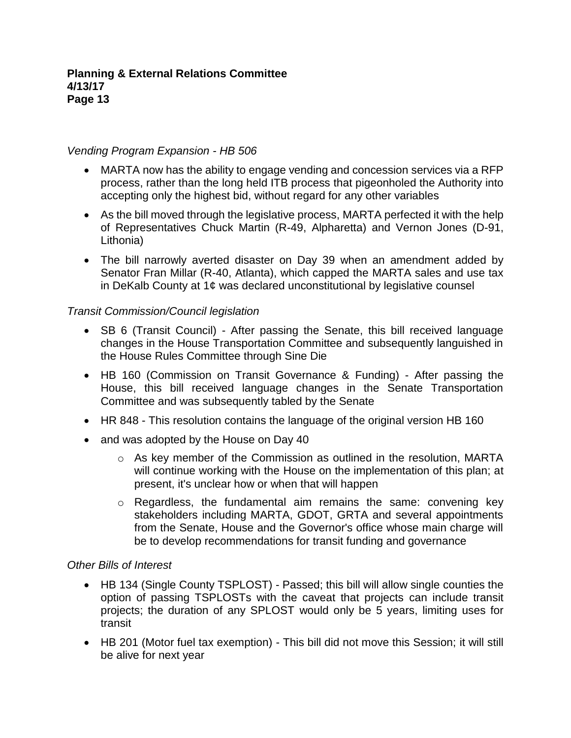### *Vending Program Expansion - HB 506*

- MARTA now has the ability to engage vending and concession services via a RFP process, rather than the long held ITB process that pigeonholed the Authority into accepting only the highest bid, without regard for any other variables
- As the bill moved through the legislative process, MARTA perfected it with the help of Representatives Chuck Martin (R-49, Alpharetta) and Vernon Jones (D-91, Lithonia)
- The bill narrowly averted disaster on Day 39 when an amendment added by Senator Fran Millar (R-40, Atlanta), which capped the MARTA sales and use tax in DeKalb County at 1¢ was declared unconstitutional by legislative counsel

### *Transit Commission/Council legislation*

- SB 6 (Transit Council) After passing the Senate, this bill received language changes in the House Transportation Committee and subsequently languished in the House Rules Committee through Sine Die
- HB 160 (Commission on Transit Governance & Funding) After passing the House, this bill received language changes in the Senate Transportation Committee and was subsequently tabled by the Senate
- HR 848 This resolution contains the language of the original version HB 160
- and was adopted by the House on Day 40
	- o As key member of the Commission as outlined in the resolution, MARTA will continue working with the House on the implementation of this plan; at present, it's unclear how or when that will happen
	- o Regardless, the fundamental aim remains the same: convening key stakeholders including MARTA, GDOT, GRTA and several appointments from the Senate, House and the Governor's office whose main charge will be to develop recommendations for transit funding and governance

### *Other Bills of Interest*

- HB 134 (Single County TSPLOST) Passed; this bill will allow single counties the option of passing TSPLOSTs with the caveat that projects can include transit projects; the duration of any SPLOST would only be 5 years, limiting uses for transit
- HB 201 (Motor fuel tax exemption) This bill did not move this Session; it will still be alive for next year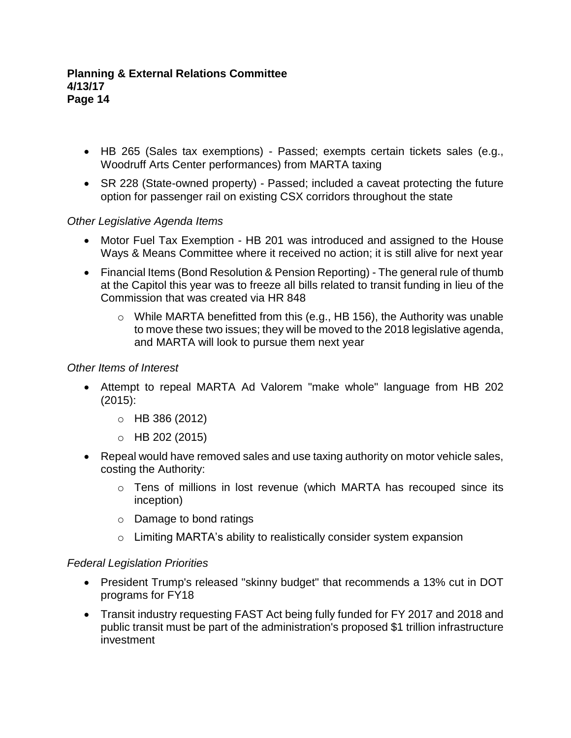- HB 265 (Sales tax exemptions) Passed; exempts certain tickets sales (e.g., Woodruff Arts Center performances) from MARTA taxing
- SR 228 (State-owned property) Passed; included a caveat protecting the future option for passenger rail on existing CSX corridors throughout the state

# *Other Legislative Agenda Items*

- Motor Fuel Tax Exemption HB 201 was introduced and assigned to the House Ways & Means Committee where it received no action; it is still alive for next year
- Financial Items (Bond Resolution & Pension Reporting) The general rule of thumb at the Capitol this year was to freeze all bills related to transit funding in lieu of the Commission that was created via HR 848
	- o While MARTA benefitted from this (e.g., HB 156), the Authority was unable to move these two issues; they will be moved to the 2018 legislative agenda, and MARTA will look to pursue them next year

### *Other Items of Interest*

- Attempt to repeal MARTA Ad Valorem "make whole" language from HB 202 (2015):
	- o HB 386 (2012)
	- $O$  HB 202 (2015)
- Repeal would have removed sales and use taxing authority on motor vehicle sales, costing the Authority:
	- o Tens of millions in lost revenue (which MARTA has recouped since its inception)
	- o Damage to bond ratings
	- o Limiting MARTA's ability to realistically consider system expansion

### *Federal Legislation Priorities*

- President Trump's released "skinny budget" that recommends a 13% cut in DOT programs for FY18
- Transit industry requesting FAST Act being fully funded for FY 2017 and 2018 and public transit must be part of the administration's proposed \$1 trillion infrastructure investment